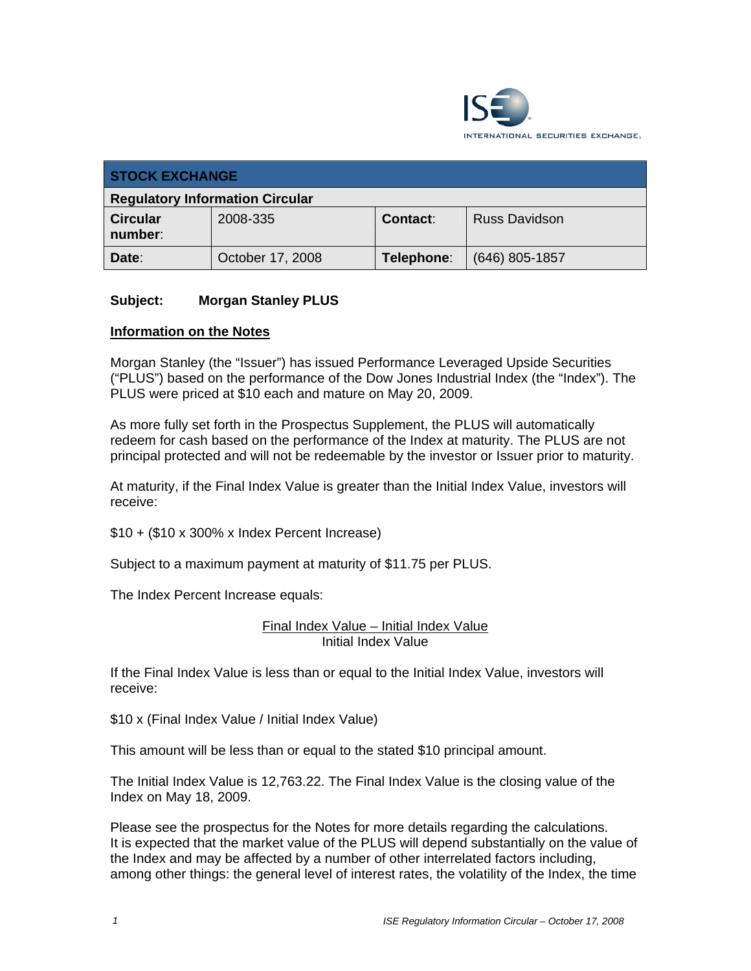

| <b>STOCK EXCHANGE</b>                  |                  |            |                      |  |
|----------------------------------------|------------------|------------|----------------------|--|
| <b>Regulatory Information Circular</b> |                  |            |                      |  |
| <b>Circular</b><br>number:             | 2008-335         | Contact:   | <b>Russ Davidson</b> |  |
| Date:                                  | October 17, 2008 | Telephone: | $(646)$ 805-1857     |  |

## **Subject: Morgan Stanley PLUS**

## **Information on the Notes**

Morgan Stanley (the "Issuer") has issued Performance Leveraged Upside Securities ("PLUS") based on the performance of the Dow Jones Industrial Index (the "Index"). The PLUS were priced at \$10 each and mature on May 20, 2009.

As more fully set forth in the Prospectus Supplement, the PLUS will automatically redeem for cash based on the performance of the Index at maturity. The PLUS are not principal protected and will not be redeemable by the investor or Issuer prior to maturity.

At maturity, if the Final Index Value is greater than the Initial Index Value, investors will receive:

\$10 + (\$10 x 300% x Index Percent Increase)

Subject to a maximum payment at maturity of \$11.75 per PLUS.

The Index Percent Increase equals:

Final Index Value – Initial Index Value Initial Index Value

If the Final Index Value is less than or equal to the Initial Index Value, investors will receive:

\$10 x (Final Index Value / Initial Index Value)

This amount will be less than or equal to the stated \$10 principal amount.

The Initial Index Value is 12,763.22. The Final Index Value is the closing value of the Index on May 18, 2009.

Please see the prospectus for the Notes for more details regarding the calculations. It is expected that the market value of the PLUS will depend substantially on the value of the Index and may be affected by a number of other interrelated factors including, among other things: the general level of interest rates, the volatility of the Index, the time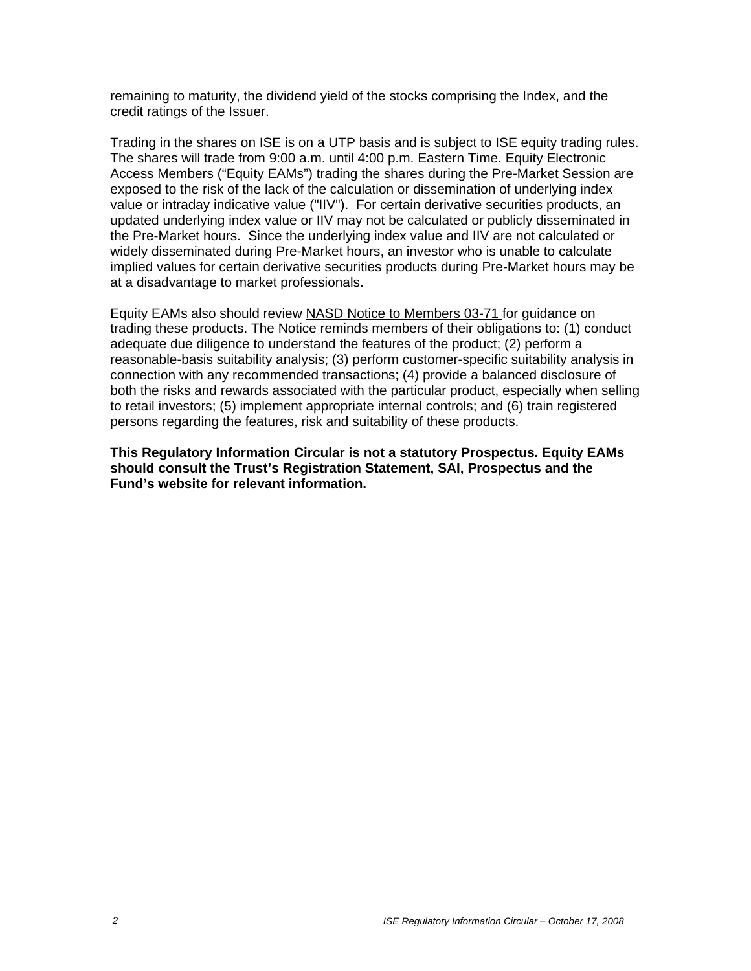remaining to maturity, the dividend yield of the stocks comprising the Index, and the credit ratings of the Issuer.

Trading in the shares on ISE is on a UTP basis and is subject to ISE equity trading rules. The shares will trade from 9:00 a.m. until 4:00 p.m. Eastern Time. Equity Electronic Access Members ("Equity EAMs") trading the shares during the Pre-Market Session are exposed to the risk of the lack of the calculation or dissemination of underlying index value or intraday indicative value ("IIV"). For certain derivative securities products, an updated underlying index value or IIV may not be calculated or publicly disseminated in the Pre-Market hours. Since the underlying index value and IIV are not calculated or widely disseminated during Pre-Market hours, an investor who is unable to calculate implied values for certain derivative securities products during Pre-Market hours may be at a disadvantage to market professionals.

Equity EAMs also should review NASD Notice to Members 03-71 for guidance on trading these products. The Notice reminds members of their obligations to: (1) conduct adequate due diligence to understand the features of the product; (2) perform a reasonable-basis suitability analysis; (3) perform customer-specific suitability analysis in connection with any recommended transactions; (4) provide a balanced disclosure of both the risks and rewards associated with the particular product, especially when selling to retail investors; (5) implement appropriate internal controls; and (6) train registered persons regarding the features, risk and suitability of these products.

**This Regulatory Information Circular is not a statutory Prospectus. Equity EAMs should consult the Trust's Registration Statement, SAI, Prospectus and the Fund's website for relevant information.**